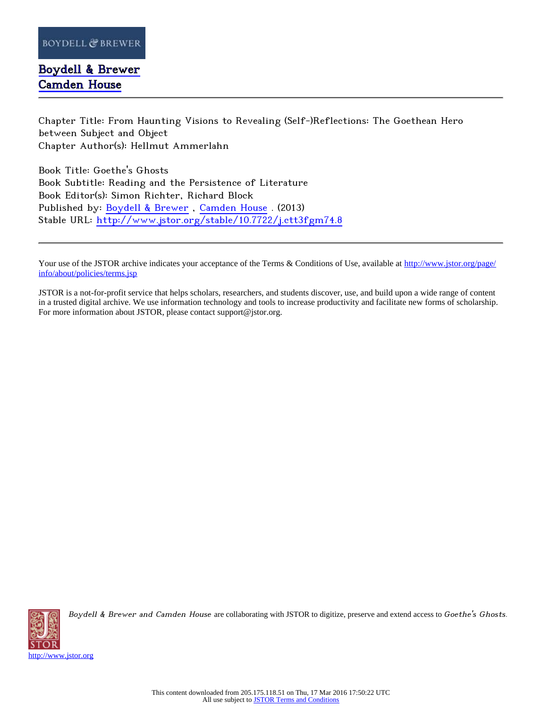## [Boydell & Brewer](http://www.jstor.org/publisher/boydellbrewer) [Camden House](http://www.jstor.org/publisher/camdenhouse)

Chapter Title: From Haunting Visions to Revealing (Self-)Reflections: The Goethean Hero between Subject and Object Chapter Author(s): Hellmut Ammerlahn

Book Title: Goethe's Ghosts Book Subtitle: Reading and the Persistence of Literature Book Editor(s): Simon Richter, Richard Block Published by: [Boydell & Brewer](http://www.jstor.org/publisher/boydellbrewer) , [Camden House](http://www.jstor.org/publisher/camdenhouse) . (2013) Stable URL: <http://www.jstor.org/stable/10.7722/j.ctt3fgm74.8>

Your use of the JSTOR archive indicates your acceptance of the Terms & Conditions of Use, available at [http://www.jstor.org/page/](http://www.jstor.org/page/info/about/policies/terms.jsp) [info/about/policies/terms.jsp](http://www.jstor.org/page/info/about/policies/terms.jsp)

JSTOR is a not-for-profit service that helps scholars, researchers, and students discover, use, and build upon a wide range of content in a trusted digital archive. We use information technology and tools to increase productivity and facilitate new forms of scholarship. For more information about JSTOR, please contact support@jstor.org.



Boydell & Brewer and Camden House are collaborating with JSTOR to digitize, preserve and extend access to Goethe's Ghosts.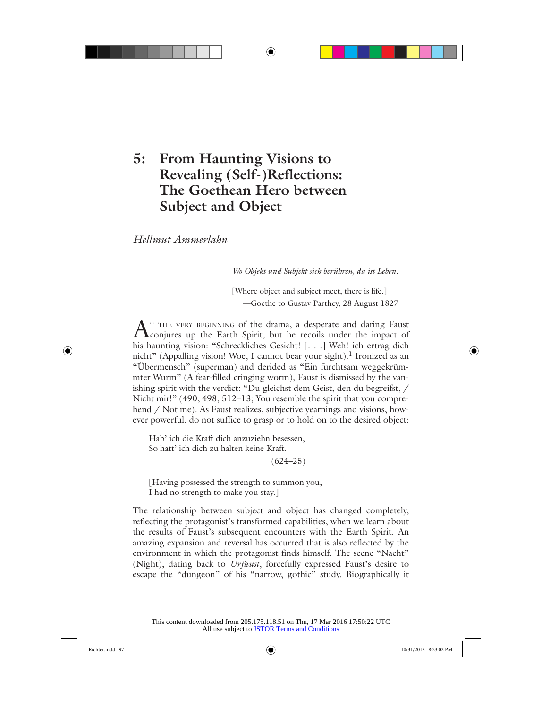# **5: From Haunting Visions to Revealing (Self-)Reflections: The Goethean Hero between Subject and Object**

*Hellmut Ammerlahn*

*Wo Objekt und Subjekt sich berühren, da ist Leben.*

[Where object and subject meet, there is life.] —Goethe to Gustav Parthey, 28 August 1827

AT THE VERY BEGINNING of the drama, a desperate and daring Faust conjures up the Earth Spirit, but he recoils under the impact of his haunting vision: "Schreckliches Gesicht! [. . .] Weh! ich ertrag dich nicht" (Appalling vision! Woe, I cannot bear your sight).<sup>1</sup> Ironized as an "Übermensch" (superman) and derided as "Ein furchtsam weggekrümmter Wurm" (A fear-filled cringing worm), Faust is dismissed by the vanishing spirit with the verdict: "Du gleichst dem Geist, den du begreifst, / Nicht mir!" (490, 498, 512–13; You resemble the spirit that you comprehend / Not me). As Faust realizes, subjective vearnings and visions, however powerful, do not suffice to grasp or to hold on to the desired object:

Hab' ich die Kraft dich anzuziehn besessen, So hatt' ich dich zu halten keine Kraft.

 $(624 - 25)$ 

[Having possessed the strength to summon you, I had no strength to make you stay.]

The relationship between subject and object has changed completely, reflecting the protagonist's transformed capabilities, when we learn about the results of Faust's subsequent encounters with the Earth Spirit. An amazing expansion and reversal has occurred that is also reflected by the environment in which the protagonist finds himself. The scene "Nacht" (Night), dating back to *Urfaust*, forcefully expressed Faust's desire to escape the "dungeon" of his "narrow, gothic" study. Biographically it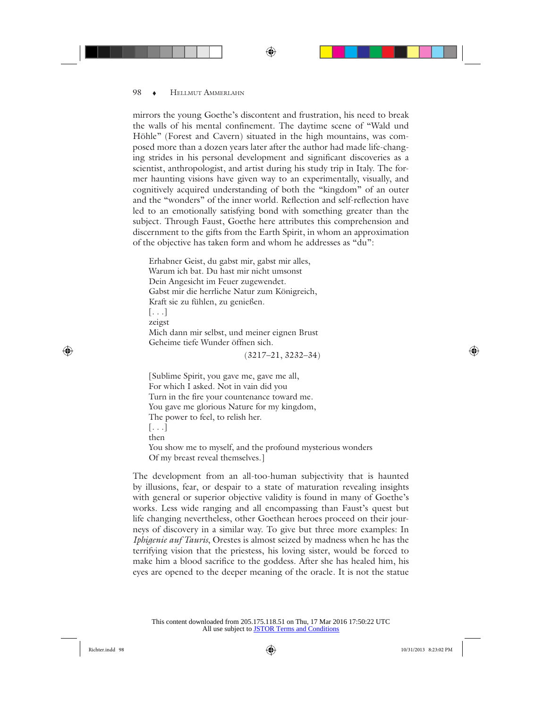mirrors the young Goethe's discontent and frustration, his need to break the walls of his mental confinement. The daytime scene of "Wald und Höhle" (Forest and Cavern) situated in the high mountains, was composed more than a dozen years later after the author had made life-changing strides in his personal development and significant discoveries as a scientist, anthropologist, and artist during his study trip in Italy. The former haunting visions have given way to an experimentally, visually, and cognitively acquired understanding of both the "kingdom" of an outer and the "wonders" of the inner world. Reflection and self-reflection have led to an emotionally satisfying bond with something greater than the subject. Through Faust, Goethe here attributes this comprehension and discernment to the gifts from the Earth Spirit, in whom an approximation of the objective has taken form and whom he addresses as "du":

Erhabner Geist, du gabst mir, gabst mir alles, Warum ich bat. Du hast mir nicht umsonst Dein Angesicht im Feuer zugewendet. Gabst mir die herrliche Natur zum Königreich, Kraft sie zu fühlen, zu genießen. [. . .] zeigst Mich dann mir selbst, und meiner eignen Brust Geheime tiefe Wunder öffnen sich. (3217–21, 3232–34)

[Sublime Spirit, you gave me, gave me all, For which I asked. Not in vain did you Turn in the fire your countenance toward me. You gave me glorious Nature for my kingdom, The power to feel, to relish her. [. . .] then You show me to myself, and the profound mysterious wonders Of my breast reveal themselves.]

The development from an all-too-human subjectivity that is haunted by illusions, fear, or despair to a state of maturation revealing insights with general or superior objective validity is found in many of Goethe's works. Less wide ranging and all encompassing than Faust's quest but life changing nevertheless, other Goethean heroes proceed on their journeys of discovery in a similar way. To give but three more examples: In *Iphigenie auf Tauris*, Orestes is almost seized by madness when he has the terrifying vision that the priestess, his loving sister, would be forced to make him a blood sacrifice to the goddess. After she has healed him, his eyes are opened to the deeper meaning of the oracle. It is not the statue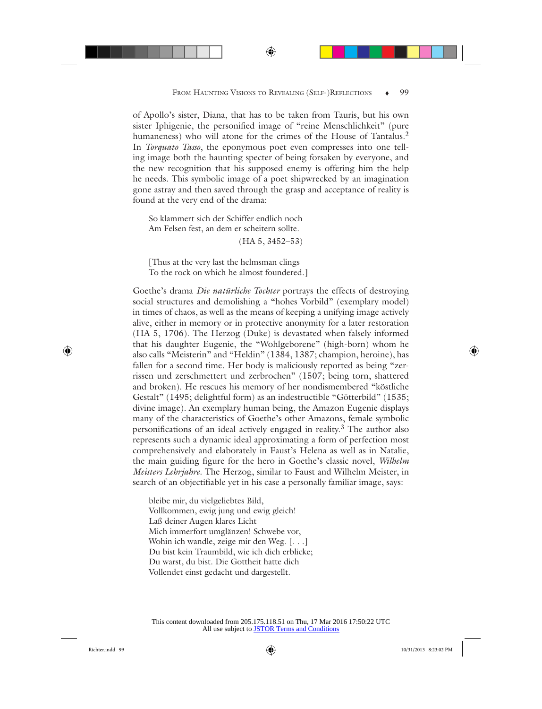of Apollo's sister, Diana, that has to be taken from Tauris, but his own sister Iphigenie, the personified image of "reine Menschlichkeit" (pure humaneness) who will atone for the crimes of the House of Tantalus.<sup>2</sup> In *Torquato Tasso*, the eponymous poet even compresses into one telling image both the haunting specter of being forsaken by everyone, and the new recognition that his supposed enemy is offering him the help he needs. This symbolic image of a poet shipwrecked by an imagination gone astray and then saved through the grasp and acceptance of reality is found at the very end of the drama:

So klammert sich der Schiffer endlich noch Am Felsen fest, an dem er scheitern sollte.

(HA 5, 3452–53)

[Thus at the very last the helmsman clings To the rock on which he almost foundered.]

Goethe's drama *Die natürliche Tochter* portrays the effects of destroying social structures and demolishing a "hohes Vorbild" (exemplary model) in times of chaos, as well as the means of keeping a unifying image actively alive, either in memory or in protective anonymity for a later restoration (HA 5, 1706). The Herzog (Duke) is devastated when falsely informed that his daughter Eugenie, the "Wohlgeborene" (high-born) whom he also calls "Meisterin" and "Heldin" (1384, 1387; champion, heroine), has fallen for a second time. Her body is maliciously reported as being "zerrissen und zerschmettert und zerbrochen" (1507; being torn, shattered and broken). He rescues his memory of her nondismembered "köstliche Gestalt" (1495; delightful form) as an indestructible "Götterbild" (1535; divine image). An exemplary human being, the Amazon Eugenie displays many of the characteristics of Goethe's other Amazons, female symbolic personifications of an ideal actively engaged in reality.3 The author also represents such a dynamic ideal approximating a form of perfection most comprehensively and elaborately in Faust's Helena as well as in Natalie, the main guiding figure for the hero in Goethe's classic novel, *Wilhelm Meisters Lehrjahre*. The Herzog, similar to Faust and Wilhelm Meister, in search of an objectifiable yet in his case a personally familiar image, says:

bleibe mir, du vielgeliebtes Bild, Vollkommen, ewig jung und ewig gleich! Laß deiner Augen klares Licht Mich immerfort umglänzen! Schwebe vor, Wohin ich wandle, zeige mir den Weg. [...] Du bist kein Traumbild, wie ich dich erblicke; Du warst, du bist. Die Gottheit hatte dich Vollendet einst gedacht und dargestellt.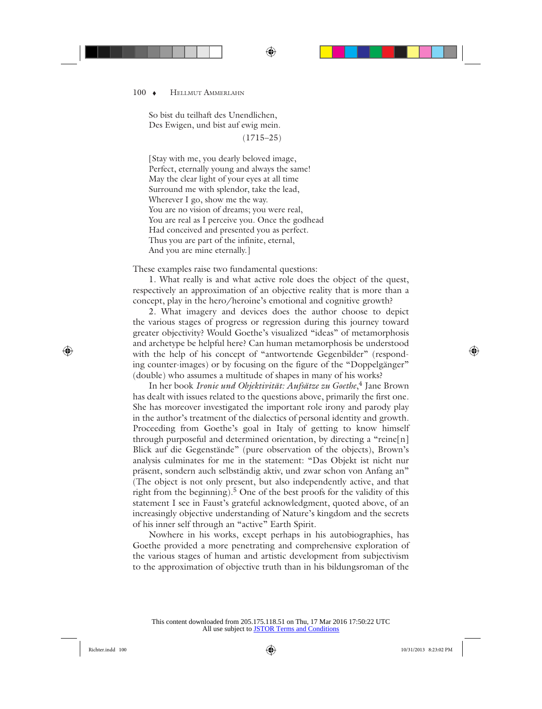So bist du teilhaft des Unendlichen, Des Ewigen, und bist auf ewig mein.

(1715–25)

[Stay with me, you dearly beloved image, Perfect, eternally young and always the same! May the clear light of your eyes at all time Surround me with splendor, take the lead, Wherever I go, show me the way. You are no vision of dreams; you were real, You are real as I perceive you. Once the godhead Had conceived and presented you as perfect. Thus you are part of the infinite, eternal, And you are mine eternally.]

These examples raise two fundamental questions:

1. What really is and what active role does the object of the quest, respectively an approximation of an objective reality that is more than a concept, play in the hero/heroine's emotional and cognitive growth?

2. What imagery and devices does the author choose to depict the various stages of progress or regression during this journey toward greater objectivity? Would Goethe's visualized "ideas" of metamorphosis and archetype be helpful here? Can human metamorphosis be understood with the help of his concept of "antwortende Gegenbilder" (responding counter-images) or by focusing on the figure of the "Doppelgänger" (double) who assumes a multitude of shapes in many of his works?

In her book *Ironie und Objektivität: Aufsätze zu Goethe*, 4 Jane Brown has dealt with issues related to the questions above, primarily the first one. She has moreover investigated the important role irony and parody play in the author's treatment of the dialectics of personal identity and growth. Proceeding from Goethe's goal in Italy of getting to know himself through purposeful and determined orientation, by directing a "reine[n] Blick auf die Gegenstände" (pure observation of the objects), Brown's analysis culminates for me in the statement: "Das Objekt ist nicht nur präsent, sondern auch selbständig aktiv, und zwar schon von Anfang an" (The object is not only present, but also independently active, and that right from the beginning).5 One of the best proofs for the validity of this statement I see in Faust's grateful acknowledgment, quoted above, of an increasingly objective understanding of Nature's kingdom and the secrets of his inner self through an "active" Earth Spirit.

Nowhere in his works, except perhaps in his autobiographies, has Goethe provided a more penetrating and comprehensive exploration of the various stages of human and artistic development from subjectivism to the approximation of objective truth than in his bildungsroman of the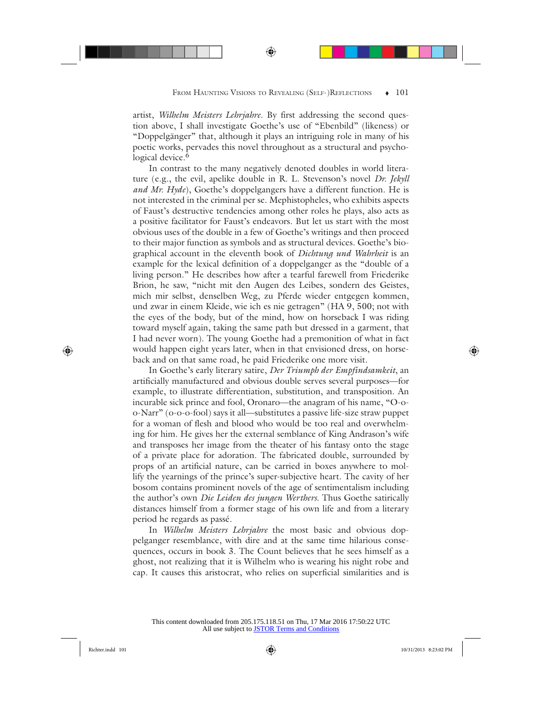artist, *Wilhelm Meisters Lehrjahre*. By first addressing the second question above, I shall investigate Goethe's use of "Ebenbild" (likeness) or "Doppelgänger" that, although it plays an intriguing role in many of his poetic works, pervades this novel throughout as a structural and psychological device.<sup>6</sup>

In contrast to the many negatively denoted doubles in world literature (e.g., the evil, apelike double in R. L. Stevenson's novel *Dr. Jekyll and Mr. Hyde*), Goethe's doppelgangers have a different function. He is not interested in the criminal per se. Mephistopheles, who exhibits aspects of Faust's destructive tendencies among other roles he plays, also acts as a positive facilitator for Faust's endeavors. But let us start with the most obvious uses of the double in a few of Goethe's writings and then proceed to their major function as symbols and as structural devices. Goethe's biographical account in the eleventh book of *Dichtung und Wahrheit* is an example for the lexical definition of a doppelganger as the "double of a living person." He describes how after a tearful farewell from Friederike Brion, he saw, "nicht mit den Augen des Leibes, sondern des Geistes, mich mir selbst, denselben Weg, zu Pferde wieder entgegen kommen, und zwar in einem Kleide, wie ich es nie getragen" (HA 9, 500; not with the eyes of the body, but of the mind, how on horseback I was riding toward myself again, taking the same path but dressed in a garment, that I had never worn). The young Goethe had a premonition of what in fact would happen eight years later, when in that envisioned dress, on horseback and on that same road, he paid Friederike one more visit.

In Goethe's early literary satire, *Der Triumph der Empfindsamkeit*, an artificially manufactured and obvious double serves several purposes—for example, to illustrate differentiation, substitution, and transposition. An incurable sick prince and fool, Oronaro—the anagram of his name, "O-oo-Narr" (o-o-o-fool) says it all—substitutes a passive life-size straw puppet for a woman of flesh and blood who would be too real and overwhelming for him. He gives her the external semblance of King Andrason's wife and transposes her image from the theater of his fantasy onto the stage of a private place for adoration. The fabricated double, surrounded by props of an artificial nature, can be carried in boxes anywhere to mollify the yearnings of the prince's super-subjective heart. The cavity of her bosom contains prominent novels of the age of sentimentalism including the author's own *Die Leiden des jungen Werthers*. Thus Goethe satirically distances himself from a former stage of his own life and from a literary period he regards as passé.

In *Wilhelm Meisters Lehrjahre* the most basic and obvious doppelganger resemblance, with dire and at the same time hilarious consequences, occurs in book 3. The Count believes that he sees himself as a ghost, not realizing that it is Wilhelm who is wearing his night robe and cap. It causes this aristocrat, who relies on superficial similarities and is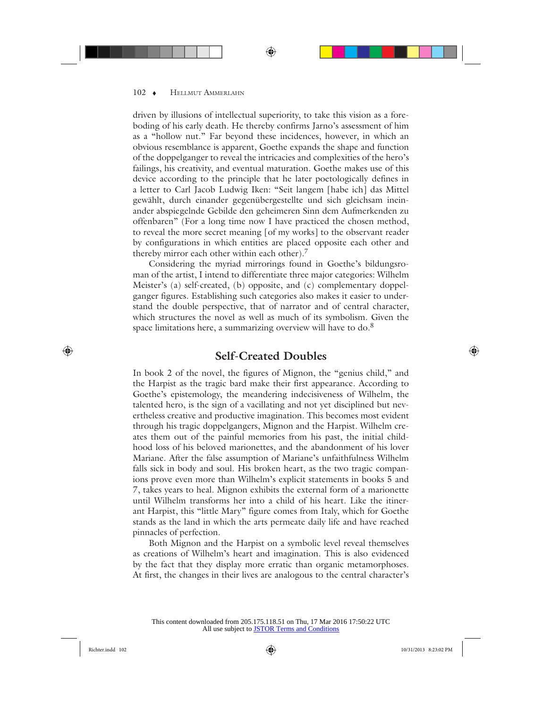driven by illusions of intellectual superiority, to take this vision as a foreboding of his early death. He thereby confirms Jarno's assessment of him as a "hollow nut." Far beyond these incidences, however, in which an obvious resemblance is apparent, Goethe expands the shape and function of the doppelganger to reveal the intricacies and complexities of the hero's failings, his creativity, and eventual maturation. Goethe makes use of this device according to the principle that he later poetologically defines in a letter to Carl Jacob Ludwig Iken: "Seit langem [habe ich] das Mittel gewählt, durch einander gegenübergestellte und sich gleichsam ineinander abspiegelnde Gebilde den geheimeren Sinn dem Aufmerkenden zu offenbaren" (For a long time now I have practiced the chosen method, to reveal the more secret meaning [of my works] to the observant reader by configurations in which entities are placed opposite each other and thereby mirror each other within each other).<sup>7</sup>

Considering the myriad mirrorings found in Goethe's bildungsroman of the artist, I intend to differentiate three major categories: Wilhelm Meister's (a) self-created, (b) opposite, and (c) complementary doppelganger figures. Establishing such categories also makes it easier to understand the double perspective, that of narrator and of central character, which structures the novel as well as much of its symbolism. Given the space limitations here, a summarizing overview will have to do. $8$ 

### **Self-Created Doubles**

In book 2 of the novel, the figures of Mignon, the "genius child," and the Harpist as the tragic bard make their first appearance. According to Goethe's epistemology, the meandering indecisiveness of Wilhelm, the talented hero, is the sign of a vacillating and not yet disciplined but nevertheless creative and productive imagination. This becomes most evident through his tragic doppelgangers, Mignon and the Harpist. Wilhelm creates them out of the painful memories from his past, the initial childhood loss of his beloved marionettes, and the abandonment of his lover Mariane. After the false assumption of Mariane's unfaithfulness Wilhelm falls sick in body and soul. His broken heart, as the two tragic companions prove even more than Wilhelm's explicit statements in books 5 and 7, takes years to heal. Mignon exhibits the external form of a marionette until Wilhelm transforms her into a child of his heart. Like the itinerant Harpist, this "little Mary" figure comes from Italy, which for Goethe stands as the land in which the arts permeate daily life and have reached pinnacles of perfection.

Both Mignon and the Harpist on a symbolic level reveal themselves as creations of Wilhelm's heart and imagination. This is also evidenced by the fact that they display more erratic than organic metamorphoses. At first, the changes in their lives are analogous to the central character's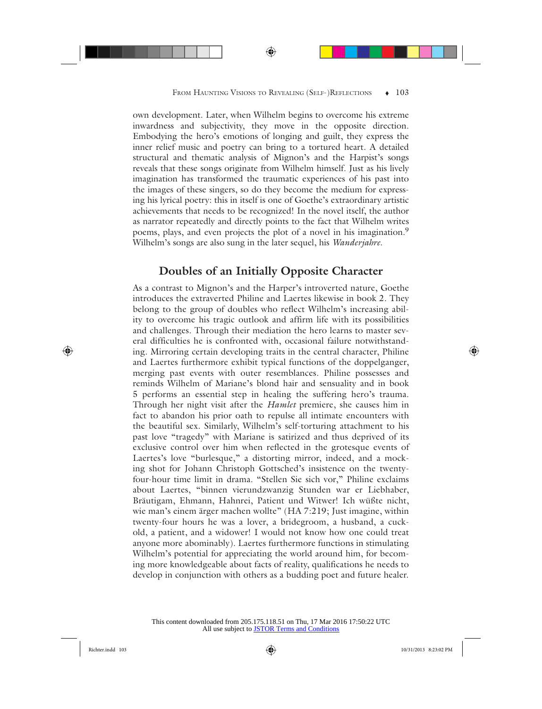own development. Later, when Wilhelm begins to overcome his extreme inwardness and subjectivity, they move in the opposite direction. Embodying the hero's emotions of longing and guilt, they express the inner relief music and poetry can bring to a tortured heart. A detailed structural and thematic analysis of Mignon's and the Harpist's songs reveals that these songs originate from Wilhelm himself. Just as his lively imagination has transformed the traumatic experiences of his past into the images of these singers, so do they become the medium for expressing his lyrical poetry: this in itself is one of Goethe's extraordinary artistic achievements that needs to be recognized! In the novel itself, the author as narrator repeatedly and directly points to the fact that Wilhelm writes poems, plays, and even projects the plot of a novel in his imagination.<sup>9</sup> Wilhelm's songs are also sung in the later sequel, his *Wanderjahre*.

## **Doubles of an Initially Opposite Character**

As a contrast to Mignon's and the Harper's introverted nature, Goethe introduces the extraverted Philine and Laertes likewise in book 2. They belong to the group of doubles who reflect Wilhelm's increasing ability to overcome his tragic outlook and affirm life with its possibilities and challenges. Through their mediation the hero learns to master several difficulties he is confronted with, occasional failure notwithstanding. Mirroring certain developing traits in the central character, Philine and Laertes furthermore exhibit typical functions of the doppelganger, merging past events with outer resemblances. Philine possesses and reminds Wilhelm of Mariane's blond hair and sensuality and in book 5 performs an essential step in healing the suffering hero's trauma. Through her night visit after the *Hamlet* premiere, she causes him in fact to abandon his prior oath to repulse all intimate encounters with the beautiful sex. Similarly, Wilhelm's self-torturing attachment to his past love "tragedy" with Mariane is satirized and thus deprived of its exclusive control over him when reflected in the grotesque events of Laertes's love "burlesque," a distorting mirror, indeed, and a mocking shot for Johann Christoph Gottsched's insistence on the twentyfour-hour time limit in drama. "Stellen Sie sich vor," Philine exclaims about Laertes, "binnen vierundzwanzig Stunden war er Liebhaber, Bräutigam, Ehmann, Hahnrei, Patient und Witwer! Ich wüßte nicht, wie man's einem ärger machen wollte" (HA 7:219; Just imagine, within twenty-four hours he was a lover, a bridegroom, a husband, a cuckold, a patient, and a widower! I would not know how one could treat anyone more abominably). Laertes furthermore functions in stimulating Wilhelm's potential for appreciating the world around him, for becoming more knowledgeable about facts of reality, qualifications he needs to develop in conjunction with others as a budding poet and future healer.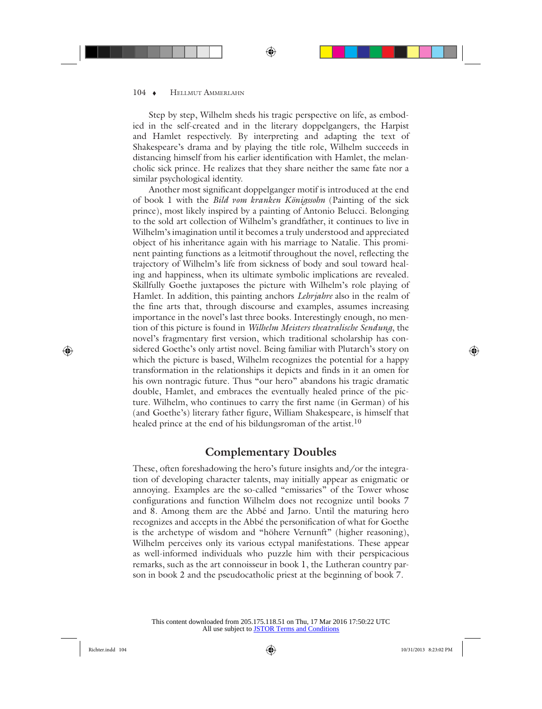Step by step, Wilhelm sheds his tragic perspective on life, as embodied in the self-created and in the literary doppelgangers, the Harpist and Hamlet respectively. By interpreting and adapting the text of Shakespeare's drama and by playing the title role, Wilhelm succeeds in distancing himself from his earlier identification with Hamlet, the melancholic sick prince. He realizes that they share neither the same fate nor a similar psychological identity.

Another most significant doppelganger motif is introduced at the end of book 1 with the *Bild vom kranken Königssohn* (Painting of the sick prince), most likely inspired by a painting of Antonio Belucci. Belonging to the sold art collection of Wilhelm's grandfather, it continues to live in Wilhelm's imagination until it becomes a truly understood and appreciated object of his inheritance again with his marriage to Natalie. This prominent painting functions as a leitmotif throughout the novel, reflecting the trajectory of Wilhelm's life from sickness of body and soul toward healing and happiness, when its ultimate symbolic implications are revealed. Skillfully Goethe juxtaposes the picture with Wilhelm's role playing of Hamlet. In addition, this painting anchors *Lehrjahre* also in the realm of the fine arts that, through discourse and examples, assumes increasing importance in the novel's last three books. Interestingly enough, no mention of this picture is found in *Wilhelm Meisters theatralische Sendung*, the novel's fragmentary first version, which traditional scholarship has considered Goethe's only artist novel. Being familiar with Plutarch's story on which the picture is based, Wilhelm recognizes the potential for a happy transformation in the relationships it depicts and finds in it an omen for his own nontragic future. Thus "our hero" abandons his tragic dramatic double, Hamlet, and embraces the eventually healed prince of the picture. Wilhelm, who continues to carry the first name (in German) of his (and Goethe's) literary father figure, William Shakespeare, is himself that healed prince at the end of his bildungsroman of the artist.<sup>10</sup>

#### **Complementary Doubles**

These, often foreshadowing the hero's future insights and/or the integration of developing character talents, may initially appear as enigmatic or annoying. Examples are the so-called "emissaries" of the Tower whose configurations and function Wilhelm does not recognize until books 7 and 8. Among them are the Abbé and Jarno. Until the maturing hero recognizes and accepts in the Abbé the personification of what for Goethe is the archetype of wisdom and "höhere Vernunft" (higher reasoning), Wilhelm perceives only its various ectypal manifestations. These appear as well-informed individuals who puzzle him with their perspicacious remarks, such as the art connoisseur in book 1, the Lutheran country parson in book 2 and the pseudocatholic priest at the beginning of book 7.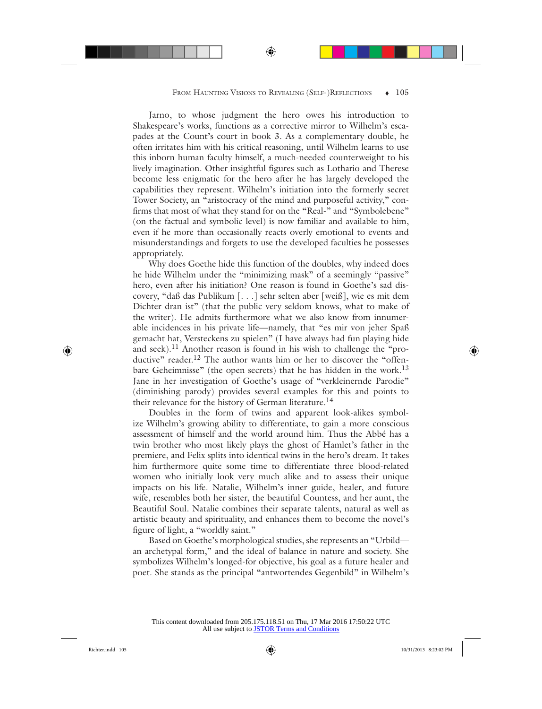Jarno, to whose judgment the hero owes his introduction to Shakespeare's works, functions as a corrective mirror to Wilhelm's escapades at the Count's court in book 3. As a complementary double, he often irritates him with his critical reasoning, until Wilhelm learns to use this inborn human faculty himself, a much-needed counterweight to his lively imagination. Other insightful figures such as Lothario and Therese become less enigmatic for the hero after he has largely developed the capabilities they represent. Wilhelm's initiation into the formerly secret Tower Society, an "aristocracy of the mind and purposeful activity," confirms that most of what they stand for on the "Real-" and "Symbolebene" (on the factual and symbolic level) is now familiar and available to him, even if he more than occasionally reacts overly emotional to events and misunderstandings and forgets to use the developed faculties he possesses appropriately.

Why does Goethe hide this function of the doubles, why indeed does he hide Wilhelm under the "minimizing mask" of a seemingly "passive" hero, even after his initiation? One reason is found in Goethe's sad discovery, "daß das Publikum [. . .] sehr selten aber [weiß], wie es mit dem Dichter dran ist" (that the public very seldom knows, what to make of the writer). He admits furthermore what we also know from innumerable incidences in his private life—namely, that "es mir von jeher Spaß gemacht hat, Versteckens zu spielen" (I have always had fun playing hide and seek).<sup>11</sup> Another reason is found in his wish to challenge the "productive" reader.<sup>12</sup> The author wants him or her to discover the "offenbare Geheimnisse" (the open secrets) that he has hidden in the work.<sup>13</sup> Jane in her investigation of Goethe's usage of "verkleinernde Parodie" (diminishing parody) provides several examples for this and points to their relevance for the history of German literature.<sup>14</sup>

Doubles in the form of twins and apparent look-alikes symbolize Wilhelm's growing ability to differentiate, to gain a more conscious assessment of himself and the world around him. Thus the Abbé has a twin brother who most likely plays the ghost of Hamlet's father in the premiere, and Felix splits into identical twins in the hero's dream. It takes him furthermore quite some time to differentiate three blood-related women who initially look very much alike and to assess their unique impacts on his life. Natalie, Wilhelm's inner guide, healer, and future wife, resembles both her sister, the beautiful Countess, and her aunt, the Beautiful Soul. Natalie combines their separate talents, natural as well as artistic beauty and spirituality, and enhances them to become the novel's figure of light, a "worldly saint."

Based on Goethe's morphological studies, she represents an "Urbild an archetypal form," and the ideal of balance in nature and society. She symbolizes Wilhelm's longed-for objective, his goal as a future healer and poet. She stands as the principal "antwortendes Gegenbild" in Wilhelm's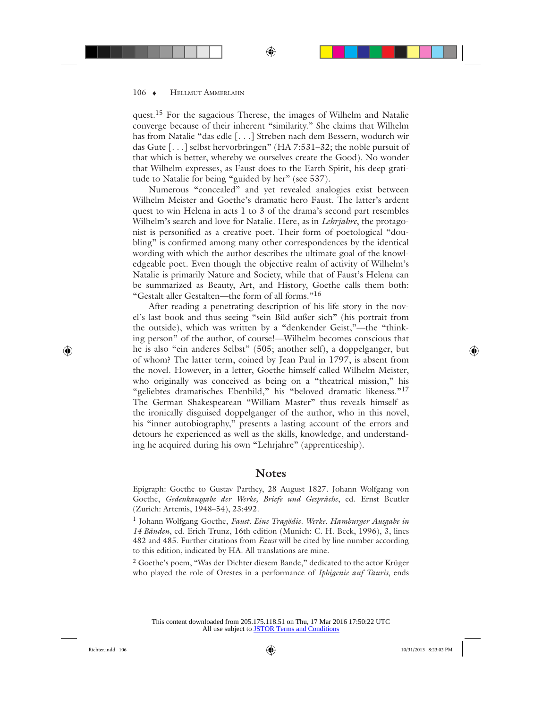quest.<sup>15</sup> For the sagacious Therese, the images of Wilhelm and Natalie converge because of their inherent "similarity." She claims that Wilhelm has from Natalie "das edle [. . .] Streben nach dem Bessern, wodurch wir das Gute [. . .] selbst hervorbringen" (HA 7:531–32; the noble pursuit of that which is better, whereby we ourselves create the Good). No wonder that Wilhelm expresses, as Faust does to the Earth Spirit, his deep gratitude to Natalie for being "guided by her" (see 537).

Numerous "concealed" and yet revealed analogies exist between Wilhelm Meister and Goethe's dramatic hero Faust. The latter's ardent quest to win Helena in acts 1 to 3 of the drama's second part resembles Wilhelm's search and love for Natalie. Here, as in *Lehrjahre*, the protagonist is personified as a creative poet. Their form of poetological "doubling" is confirmed among many other correspondences by the identical wording with which the author describes the ultimate goal of the knowledgeable poet. Even though the objective realm of activity of Wilhelm's Natalie is primarily Nature and Society, while that of Faust's Helena can be summarized as Beauty, Art, and History, Goethe calls them both: "Gestalt aller Gestalten—the form of all forms."<sup>16</sup>

After reading a penetrating description of his life story in the novel's last book and thus seeing "sein Bild außer sich" (his portrait from the outside), which was written by a "denkender Geist,"—the "thinking person" of the author, of course!—Wilhelm becomes conscious that he is also "ein anderes Selbst" (505; another self), a doppelganger, but of whom? The latter term, coined by Jean Paul in 1797, is absent from the novel. However, in a letter, Goethe himself called Wilhelm Meister, who originally was conceived as being on a "theatrical mission," his "geliebtes dramatisches Ebenbild," his "beloved dramatic likeness." $17$ The German Shakespearean "William Master" thus reveals himself as the ironically disguised doppelganger of the author, who in this novel, his "inner autobiography," presents a lasting account of the errors and detours he experienced as well as the skills, knowledge, and understanding he acquired during his own "Lehrjahre" (apprenticeship).

#### **Notes**

Epigraph: Goethe to Gustav Parthey, 28 August 1827. Johann Wolfgang von Goethe, *Gedenkausgabe der Werke, Briefe und Gespräche*, ed. Ernst Beutler (Zurich: Artemis, 1948–54), 23:492.

1 Johann Wolfgang Goethe, *Faust. Eine Tragödie. Werke. Hamburger Ausgabe in 14 Bänden*, ed. Erich Trunz, 16th edition (Munich: C. H. Beck, 1996), 3, lines 482 and 485. Further citations from *Faust* will be cited by line number according to this edition, indicated by HA. All translations are mine.

<sup>2</sup> Goethe's poem, "Was der Dichter diesem Bande," dedicated to the actor Krüger who played the role of Orestes in a performance of *Iphigenie auf Tauris*, ends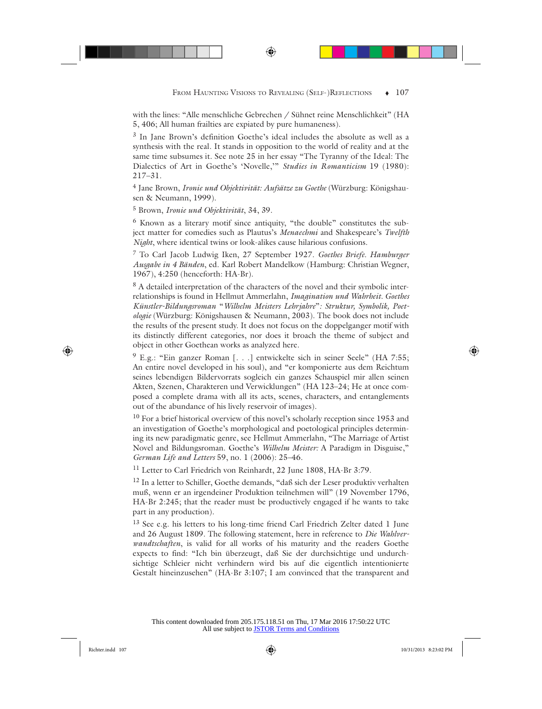with the lines: "Alle menschliche Gebrechen / Sühnet reine Menschlichkeit" (HA 5, 406; All human frailties are expiated by pure humaneness).

3 In Jane Brown's definition Goethe's ideal includes the absolute as well as a synthesis with the real. It stands in opposition to the world of reality and at the same time subsumes it. See note 25 in her essay "The Tyranny of the Ideal: The Dialectics of Art in Goethe's 'Novelle,'" *Studies in Romanticism* 19 (1980): 217–31.

4 Jane Brown, *Ironie und Objektivität: Aufsätze zu Goethe* (Würzburg: Königshausen & Neumann, 1999).

5 Brown, *Ironie und Objektivität*, 34, 39.

6 Known as a literary motif since antiquity, "the double" constitutes the subject matter for comedies such as Plautus's *Menaechmi* and Shakespeare's *Twelfth Night*, where identical twins or look-alikes cause hilarious confusions.

7 To Carl Jacob Ludwig Iken, 27 September 1927. *Goethes Briefe. Hamburger Ausgabe in 4 Bänden*, ed. Karl Robert Mandelkow (Hamburg: Christian Wegner, 1967), 4:250 (henceforth: HA-Br).

<sup>8</sup> A detailed interpretation of the characters of the novel and their symbolic interrelationships is found in Hellmut Ammerlahn, *Imagination und Wahrheit. Goethes Künstler-Bildungsroman* "*Wilhelm Meisters Lehrjahre*"*: Struktur, Symbolik, Poetologie* (Würzburg: Königshausen & Neumann, 2003). The book does not include the results of the present study. It does not focus on the doppelganger motif with its distinctly different categories, nor does it broach the theme of subject and object in other Goethean works as analyzed here.

<sup>9</sup> E.g.: "Ein ganzer Roman [. . .] entwickelte sich in seiner Seele" (HA 7:55; An entire novel developed in his soul), and "er komponierte aus dem Reichtum seines lebendigen Bildervorrats sogleich ein ganzes Schauspiel mir allen seinen Akten, Szenen, Charakteren und Verwicklungen" (HA 123–24; He at once composed a complete drama with all its acts, scenes, characters, and entanglements out of the abundance of his lively reservoir of images).

<sup>10</sup> For a brief historical overview of this novel's scholarly reception since 1953 and an investigation of Goethe's morphological and poetological principles determining its new paradigmatic genre, see Hellmut Ammerlahn, "The Marriage of Artist Novel and Bildungsroman. Goethe's *Wilhelm Meister:* A Paradigm in Disguise," *German Life and Letters* 59, no. 1 (2006): 25–46.

<sup>11</sup> Letter to Carl Friedrich von Reinhardt, 22 June 1808, HA-Br 3:79.

12 In a letter to Schiller, Goethe demands, "daß sich der Leser produktiv verhalten muß, wenn er an irgendeiner Produktion teilnehmen will" (19 November 1796, HA-Br 2:245; that the reader must be productively engaged if he wants to take part in any production).

13 See e.g. his letters to his long-time friend Carl Friedrich Zelter dated 1 June and 26 August 1809. The following statement, here in reference to *Die Wahlverwandtschaften*, is valid for all works of his maturity and the readers Goethe expects to find: "Ich bin überzeugt, daß Sie der durchsichtige und undurchsichtige Schleier nicht verhindern wird bis auf die eigentlich intentionierte Gestalt hineinzusehen" (HA-Br 3:107; I am convinced that the transparent and